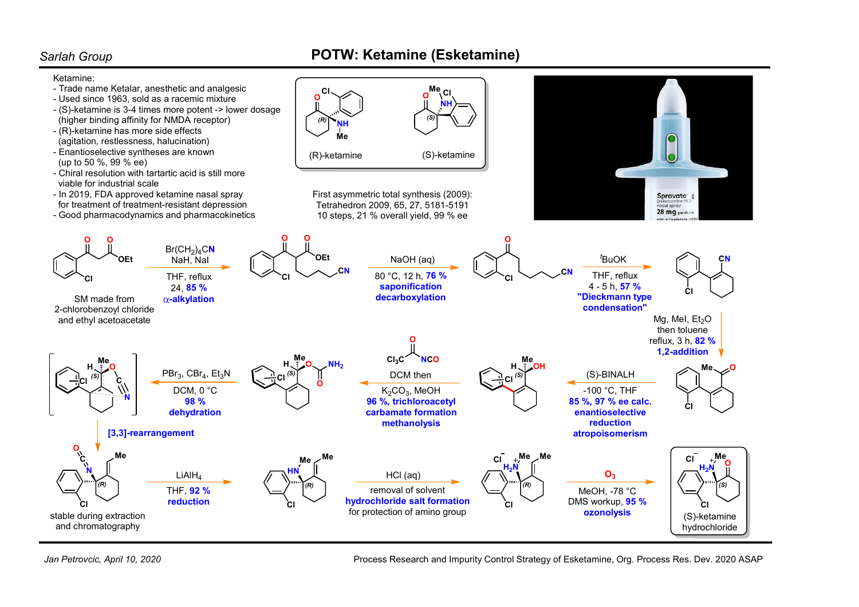## Sarlah Group **POTW: Ketamine (Esketamine)**



Jan Petrovcic, April 10, 2020

Process Research and Impurity Control Strategy of Esketamine, Org. Process Res. Dev. 2020 ASAP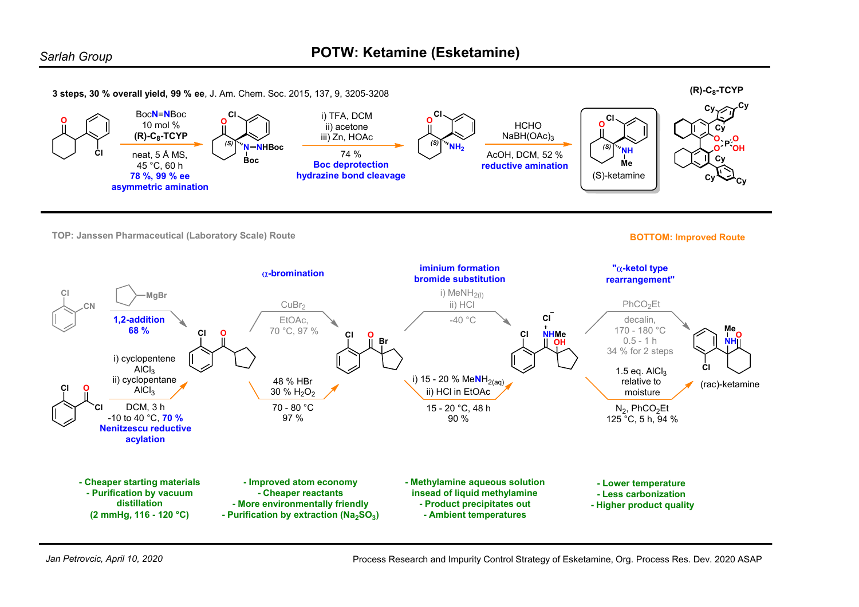

Process Research and Impurity Control Strategy of Esketamine, Org. Process Res. Dev. 2020 ASAP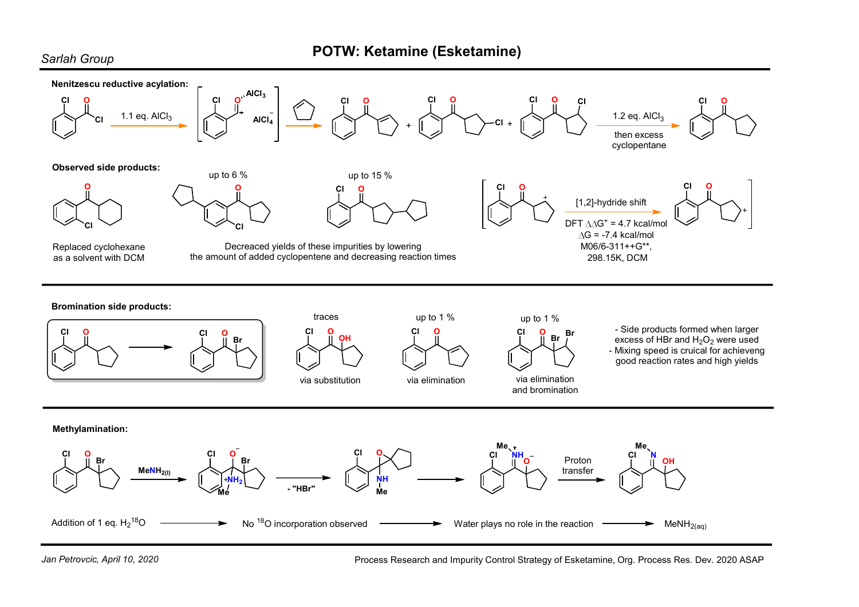## Sarlah Group **POTW: Ketamine (Esketamine)**





Process Research and Impurity Control Strategy of Esketamine, Org. Process Res. Dev. 2020 ASAP